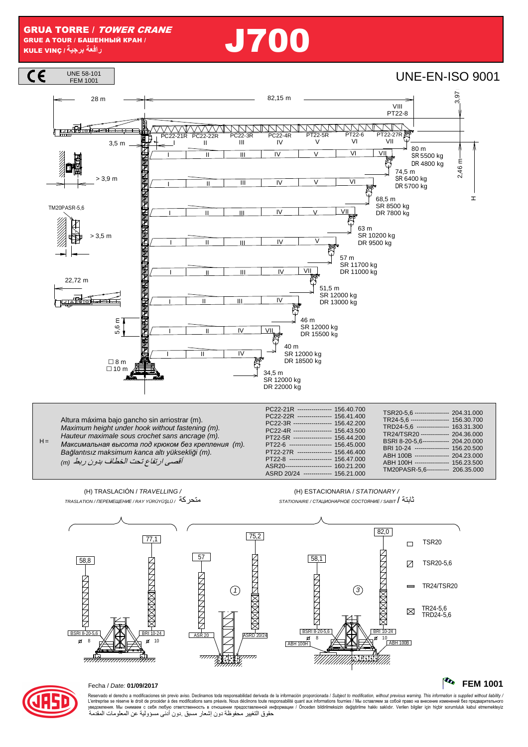# **را** J700



 $H =$ Maximum height under hook without fastening (m). Hauteur maximale sous crochet sans ancrage (m). *Максимальная высота под крюком без крепления* (m). Ba*ğ*lantısız maksimum kanca altı yüksekli*ğ*i (m). أقصبي ارتفاع تحت الخطاف بدون ربط (m)

| PC22-21R ---------------- 156.40.700<br>PC22-22R ---------------- 156.41.400<br>PC22-3R ------------------ 156.42.200<br>PC22-4R ------------------- 156.43.500<br>PT22-5R ------------------ 156.44.200<br>PT22-6 --------------------- 156.45.000<br>PT22-27R ---------------- 156.46.400<br>PT22-8 -------------------- 156.47.000<br>ASR20----------------------- 160.21.200<br>ASRD 20/24 ------------- 156.21.000 | TSR20-5.6 ----------------- 204.31.000<br>TR24-5.6 ------------------- 156.30.700<br>TRD24-5.6 ---------------- 163.31.300<br>TR24/TSR20 -------------- 204.36.000<br>BSRI 8-20-5.6------------- 204.20.000<br>BRI 10-24 ----------------- 156.20.500<br>ABH 100B ---------------- 204.23.000<br>ABH 100H ---------------- 156.23.500<br>TM20PASR-5.6---------- 206.35.000 |
|-------------------------------------------------------------------------------------------------------------------------------------------------------------------------------------------------------------------------------------------------------------------------------------------------------------------------------------------------------------------------------------------------------------------------|----------------------------------------------------------------------------------------------------------------------------------------------------------------------------------------------------------------------------------------------------------------------------------------------------------------------------------------------------------------------------|
|-------------------------------------------------------------------------------------------------------------------------------------------------------------------------------------------------------------------------------------------------------------------------------------------------------------------------------------------------------------------------------------------------------------------------|----------------------------------------------------------------------------------------------------------------------------------------------------------------------------------------------------------------------------------------------------------------------------------------------------------------------------------------------------------------------------|



#### Fecha / Date: **01/09/2017 FEM 1001**

Reservado el derecho a modificaciones sin previo aviso. Declinamos toda responsabilidad derivada de la información proporcionada / Subjec*t to modification, without previous warning. This information is supplied without l* حقوق التغيير محفوظة دون إشعار مسبق دون أدنى مسؤولية عن المعلومات المقدمة

## (H) TRASLACIÓN / TRAVELLING /

(H) ESTACIONARIA / STATIONARY /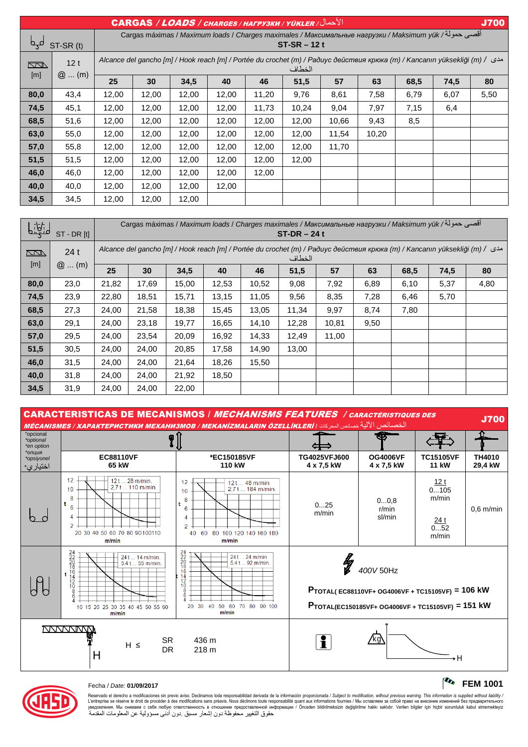| الأحمال/ CARGAS / LOADS / CHARGES / HAFPY3KИ / YÜKLER<br><b>J700</b>                                                                         |         |                                                                                                                                       |       |       |       |       |       |       |       |      |      |      |
|----------------------------------------------------------------------------------------------------------------------------------------------|---------|---------------------------------------------------------------------------------------------------------------------------------------|-------|-------|-------|-------|-------|-------|-------|------|------|------|
| أقصى حمولة/ Cargas máximas / Maximum loads / Charges maximales / Максимальные нагрузки / Maksimum yük<br>لمہما<br>ST-SR (t)<br>$ST-SR - 12t$ |         |                                                                                                                                       |       |       |       |       |       |       |       |      |      |      |
| 12t<br><b>RAN</b>                                                                                                                            |         | Alcance del gancho [m] / Hook reach [m] / Portée du crochet (m) / Радиус действия крюка (m) / Kancanın yüksekliği (m) / مدى<br>الخطاف |       |       |       |       |       |       |       |      |      |      |
| [m]                                                                                                                                          | $@$ (m) | 25                                                                                                                                    | 30    | 34,5  | 40    | 46    | 51,5  | 57    | 63    | 68,5 | 74,5 | 80   |
| 80,0                                                                                                                                         | 43,4    | 12,00                                                                                                                                 | 12,00 | 12,00 | 12,00 | 11,20 | 9,76  | 8,61  | 7,58  | 6,79 | 6,07 | 5,50 |
| 74,5                                                                                                                                         | 45,1    | 12,00                                                                                                                                 | 12,00 | 12,00 | 12,00 | 11,73 | 10,24 | 9,04  | 7,97  | 7,15 | 6,4  |      |
| 68,5                                                                                                                                         | 51,6    | 12,00                                                                                                                                 | 12,00 | 12,00 | 12,00 | 12,00 | 12,00 | 10,66 | 9,43  | 8,5  |      |      |
| 63,0                                                                                                                                         | 55,0    | 12,00                                                                                                                                 | 12,00 | 12,00 | 12,00 | 12,00 | 12,00 | 11,54 | 10,20 |      |      |      |
| 57,0                                                                                                                                         | 55,8    | 12,00                                                                                                                                 | 12,00 | 12,00 | 12,00 | 12,00 | 12,00 | 11,70 |       |      |      |      |
| 51,5                                                                                                                                         | 51,5    | 12,00                                                                                                                                 | 12,00 | 12,00 | 12,00 | 12,00 | 12,00 |       |       |      |      |      |
| 46,0                                                                                                                                         | 46,0    | 12,00                                                                                                                                 | 12,00 | 12,00 | 12,00 | 12,00 |       |       |       |      |      |      |
| 40,0                                                                                                                                         | 40,0    | 12,00                                                                                                                                 | 12.00 | 12,00 | 12,00 |       |       |       |       |      |      |      |
| 34,5                                                                                                                                         | 34,5    | 12,00                                                                                                                                 | 12,00 | 12,00 |       |       |       |       |       |      |      |      |

| لمنعيها    | $ST - DR[t]$ |                                                                                                                                   | أقصى حمولة/ Cargas máximas / Maximum loads / Charges maximales / Максимальные нагрузки / Maksimum yük<br>$ST-DR - 24t$ |       |       |       |       |       |      |      |      |      |
|------------|--------------|-----------------------------------------------------------------------------------------------------------------------------------|------------------------------------------------------------------------------------------------------------------------|-------|-------|-------|-------|-------|------|------|------|------|
| $\sqrt{2}$ | 24t          | Alcance del gancho [m] / Hook reach [m] / Portée du crochet (m) / Радиус действия крюка (m) / Kancanın yüksekliği (m) /<br>الخطاف |                                                                                                                        |       |       |       |       |       |      |      |      |      |
| [m]        | $@$ (m)      | 25                                                                                                                                | 30                                                                                                                     | 34,5  | 40    | 46    | 51,5  | 57    | 63   | 68,5 | 74,5 | 80   |
| 80,0       | 23,0         | 21,82                                                                                                                             | 17,69                                                                                                                  | 15,00 | 12,53 | 10,52 | 9,08  | 7,92  | 6,89 | 6,10 | 5,37 | 4,80 |
| 74,5       | 23,9         | 22,80                                                                                                                             | 18,51                                                                                                                  | 15,71 | 13,15 | 11,05 | 9,56  | 8,35  | 7,28 | 6,46 | 5,70 |      |
| 68,5       | 27,3         | 24,00                                                                                                                             | 21,58                                                                                                                  | 18,38 | 15,45 | 13,05 | 11,34 | 9,97  | 8,74 | 7,80 |      |      |
| 63,0       | 29,1         | 24,00                                                                                                                             | 23,18                                                                                                                  | 19,77 | 16,65 | 14,10 | 12,28 | 10,81 | 9,50 |      |      |      |
| 57,0       | 29,5         | 24,00                                                                                                                             | 23,54                                                                                                                  | 20,09 | 16,92 | 14,33 | 12,49 | 11,00 |      |      |      |      |
| 51,5       | 30,5         | 24.00                                                                                                                             | 24,00                                                                                                                  | 20,85 | 17,58 | 14,90 | 13,00 |       |      |      |      |      |
| 46,0       | 31,5         | 24,00                                                                                                                             | 24,00                                                                                                                  | 21,64 | 18,26 | 15,50 |       |       |      |      |      |      |
| 40,0       | 31,8         | 24,00                                                                                                                             | 24,00                                                                                                                  | 21,92 | 18,50 |       |       |       |      |      |      |      |
| 34,5       | 31,9         | 24,00                                                                                                                             | 24,00                                                                                                                  | 22,00 |       |       |       |       |      |      |      |      |

CARACTERISTICAS DE MECANISMOS / MECHANISMS FEATURES / CARACTÉRISTIQUES DES UANAU I LINID TIUAU DE INLUANIUMUU / *IIILUTIANIUMU I LA IUNLU / UAAU I ENSTRUES DES*<br>الخصائص الآلية <sub>خصائص</sub> الآلية السعودي *التي المعاقص المعرض المعرفة المعاقص المعاقط المعاقص المعاقبة المعاقص المعاق* 





#### Fecha / Date: **01/09/2017 FEM 1001**

Reservado el derecho a modificaciones sin previo aviso. Declinamos toda responsabilidad derivada de la información proporcionada / Subjec*t to modification, without previous warning. This information is supplied without l* حقوق التغيير محفوظة دون إشعار مسبق دون أدنى مسؤولية عن المعلومات المقدمة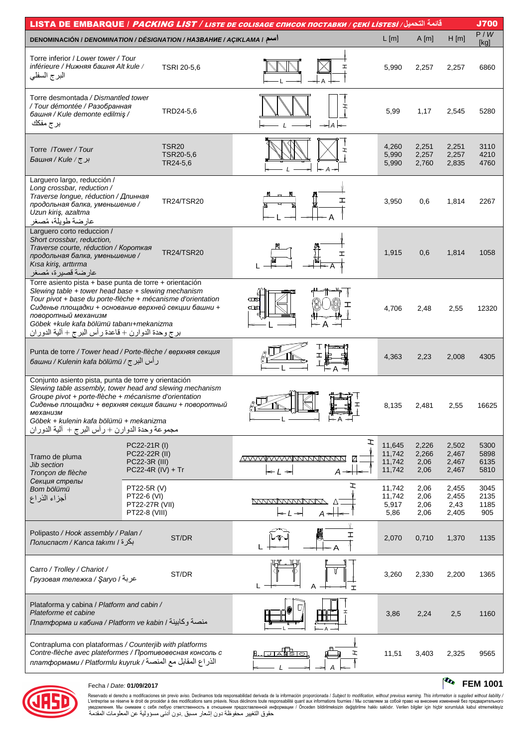| قائمة التحميل/ LISTA DE EMBARQUE / <i>PACKING LIST / LISTE DE COLISAGE CПИСОК ПОСТАВКИ / СЕКІ LISTESI</i>                                                                                                                                                                                                                                                     |                                                                     |                                       |                                                    |                      |                                      |                                |                                  | <b>J700</b>                  |
|---------------------------------------------------------------------------------------------------------------------------------------------------------------------------------------------------------------------------------------------------------------------------------------------------------------------------------------------------------------|---------------------------------------------------------------------|---------------------------------------|----------------------------------------------------|----------------------|--------------------------------------|--------------------------------|----------------------------------|------------------------------|
| DENOMINACIÓN / DENOMINATION / DÉSIGNATION / HA3BAHUE / AÇIKLAMA / اسم                                                                                                                                                                                                                                                                                         |                                                                     |                                       |                                                    |                      | L[m]                                 | A[m]                           | H[m]                             | P/W<br>[kg]                  |
| Torre inferior / Lower tower / Tour<br>inférieure / Нижняя башня Alt kule /<br>البرج السفلي                                                                                                                                                                                                                                                                   |                                                                     | TSRI 20-5,6                           |                                                    |                      | 5,990                                | 2,257                          | 2,257                            | 6860                         |
| Torre desmontada / Dismantled tower<br>/ Tour démontée / Разобранная<br>башня / Kule demonte edilmis /<br>بر ج مفكك                                                                                                                                                                                                                                           |                                                                     | TRD24-5,6                             |                                                    |                      | 5,99                                 | 1,17                           | 2,545                            | 5280                         |
| Torre / Tower / Tour<br>برج/ Башня / Kule                                                                                                                                                                                                                                                                                                                     |                                                                     | <b>TSR20</b><br>TSR20-5.6<br>TR24-5,6 |                                                    |                      | 4,260<br>5,990<br>5,990              | 2,251<br>2,257<br>2,760        | 2,251<br>2,257<br>2,835          | 3110<br>4210<br>4760         |
| Larguero largo, reducción /<br>Long crossbar, reduction /<br>Traverse longue, réduction / Длинная<br>продольная балка, уменьшение /<br>Uzun kiriş, azaltma<br>عارضة طويلة، مُصغر                                                                                                                                                                              |                                                                     | <b>TR24/TSR20</b>                     |                                                    | ェ                    | 3,950                                | 0,6                            | 1,814                            | 2267                         |
| Larguero corto reduccion /<br>Short crossbar, reduction,<br>Traverse courte, réduction / Короткая<br>продольная балка, уменьшение /<br>Kısa kiriş, arttırma<br>عارضة قصيرة، مُصغر                                                                                                                                                                             |                                                                     | <b>TR24/TSR20</b>                     |                                                    | ェ                    | 1,915                                | 0,6                            | 1,814                            | 1058                         |
| Torre asiento pista + base punta de torre + orientación<br>Slewing table + tower head base + slewing mechanism<br>Tour pivot + base du porte-flèche + mécanisme d'orientation<br>Сиденье площадки + основание верхней секции башни +<br>поворотный механизм<br>Göbek +kule kafa bölümü tabanı+mekanizma<br>برج وحدة الدوارن + قاعدة ر أس البرج + ألية الدوران |                                                                     |                                       | $\square$<br>$\square$                             |                      | 4,706                                | 2,48                           | 2,55                             | 12320                        |
| Punta de torre / Tower head / Porte-flèche / верхняя секция<br>ر أس البر ج / башни / Kulenin kafa bölümü /                                                                                                                                                                                                                                                    |                                                                     |                                       |                                                    |                      | 4,363                                | 2,23                           | 2,008                            | 4305                         |
| Conjunto asiento pista, punta de torre y orientación<br>Slewing table assembly, tower head and slewing mechanism<br>Groupe pivot + porte-flèche + mécanisme d'orientation<br>Сиденье площадки + верхняя секция башни + поворотный<br>механизм<br>Göbek + kulenin kafa bölümü + mekanizma<br>مجموعة وحدة الدوارن + رأس البرج + ألية الدوران                    |                                                                     |                                       |                                                    | ← A →                | 8,135                                | 2,481                          | 2,55                             | 16625                        |
| Tramo de pluma<br><b>Jib section</b><br>Tronçon de flèche                                                                                                                                                                                                                                                                                                     | PC22-21R (I)<br>PC22-22R (II)<br>PC22-3R (III)<br>PC22-4R (IV) + Tr |                                       | /VVVVVVVVVNNNNNNNN<br>$\leq$ $\perp$ $\Rightarrow$ | エ<br>$A \rightarrow$ | 11,645<br>11,742<br>11,742<br>11,742 | 2,226<br>2,266<br>2,06<br>2,06 | 2,502<br>2,467<br>2,467<br>2,467 | 5300<br>5898<br>6135<br>5810 |
| Секция стрелы<br>Bom bölümü<br>أجزاء الذراع                                                                                                                                                                                                                                                                                                                   | PT22-5R (V)<br>PT22-6 (VI)<br>PT22-27R (VII)<br>PT22-8 (VIII)       |                                       | <u>MANAMANANNINA</u><br>ll⇒                        | エ<br>$A \rightarrow$ | 11,742<br>11,742<br>5,917<br>5,86    | 2,06<br>2,06<br>2,06<br>2,06   | 2,455<br>2,455<br>2,43<br>2,405  | 3045<br>2135<br>1185<br>905  |
| Polipasto / Hook assembly / Palan /<br>بكرة / Полиспаст / Kanca takımı /                                                                                                                                                                                                                                                                                      |                                                                     | ST/DR                                 |                                                    | I                    | 2,070                                | 0,710                          | 1,370                            | 1135                         |
| Carro / Trolley / Chariot /<br>Грузовая тележка / Şaryo / عربة                                                                                                                                                                                                                                                                                                |                                                                     | ST/DR                                 |                                                    | A<br>$\tau$          | 3,260                                | 2,330                          | 2,200                            | 1365                         |
| Plataforma y cabina / Platform and cabin /<br>Plateforme et cabine<br>платформа и кабина / Platform ve kabin / منصة وكابينة                                                                                                                                                                                                                                   |                                                                     |                                       |                                                    |                      | 3,86                                 | 2,24                           | 2,5                              | 1160                         |
| Contrapluma con plataformas / Counterjib with platforms<br>Contre-flèche avec plateformes / Противовесная консоль с<br>الذراع المقابل مع المنصـة/ платформами / Platformlu kuyruk                                                                                                                                                                             |                                                                     |                                       |                                                    |                      | 11,51                                | 3,403                          | 2,325                            | 9565                         |



#### Fecha / Date: 01/09/2017

Reservado el derecho a modificaciones sin previo aviso. Declinamos toda responsabilidad derivada de la información proporcionada / Subject to *modification, without previous warning. This information is supplied without* 

### $\frac{1}{2}$  FEM 1001